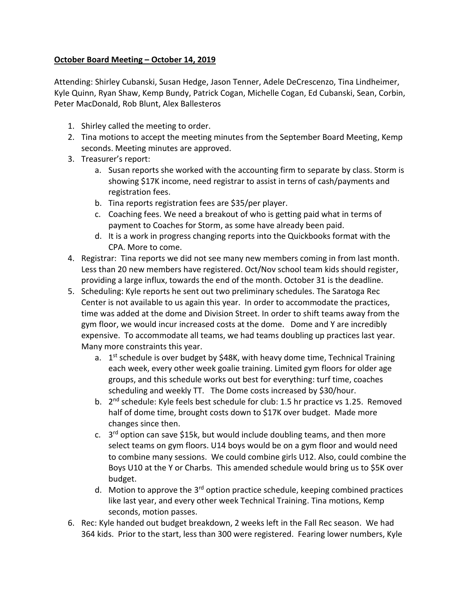## **October Board Meeting – October 14, 2019**

Attending: Shirley Cubanski, Susan Hedge, Jason Tenner, Adele DeCrescenzo, Tina Lindheimer, Kyle Quinn, Ryan Shaw, Kemp Bundy, Patrick Cogan, Michelle Cogan, Ed Cubanski, Sean, Corbin, Peter MacDonald, Rob Blunt, Alex Ballesteros

- 1. Shirley called the meeting to order.
- 2. Tina motions to accept the meeting minutes from the September Board Meeting, Kemp seconds. Meeting minutes are approved.
- 3. Treasurer's report:
	- a. Susan reports she worked with the accounting firm to separate by class. Storm is showing \$17K income, need registrar to assist in terns of cash/payments and registration fees.
	- b. Tina reports registration fees are \$35/per player.
	- c. Coaching fees. We need a breakout of who is getting paid what in terms of payment to Coaches for Storm, as some have already been paid.
	- d. It is a work in progress changing reports into the Quickbooks format with the CPA. More to come.
- 4. Registrar: Tina reports we did not see many new members coming in from last month. Less than 20 new members have registered. Oct/Nov school team kids should register, providing a large influx, towards the end of the month. October 31 is the deadline.
- 5. Scheduling: Kyle reports he sent out two preliminary schedules. The Saratoga Rec Center is not available to us again this year. In order to accommodate the practices, time was added at the dome and Division Street. In order to shift teams away from the gym floor, we would incur increased costs at the dome. Dome and Y are incredibly expensive. To accommodate all teams, we had teams doubling up practices last year. Many more constraints this year.
	- a. 1<sup>st</sup> schedule is over budget by \$48K, with heavy dome time, Technical Training each week, every other week goalie training. Limited gym floors for older age groups, and this schedule works out best for everything: turf time, coaches scheduling and weekly TT. The Dome costs increased by \$30/hour.
	- b. 2<sup>nd</sup> schedule: Kyle feels best schedule for club: 1.5 hr practice vs 1.25. Removed half of dome time, brought costs down to \$17K over budget. Made more changes since then.
	- c. 3<sup>rd</sup> option can save \$15k, but would include doubling teams, and then more select teams on gym floors. U14 boys would be on a gym floor and would need to combine many sessions. We could combine girls U12. Also, could combine the Boys U10 at the Y or Charbs. This amended schedule would bring us to \$5K over budget.
	- d. Motion to approve the 3<sup>rd</sup> option practice schedule, keeping combined practices like last year, and every other week Technical Training. Tina motions, Kemp seconds, motion passes.
- 6. Rec: Kyle handed out budget breakdown, 2 weeks left in the Fall Rec season. We had 364 kids. Prior to the start, less than 300 were registered. Fearing lower numbers, Kyle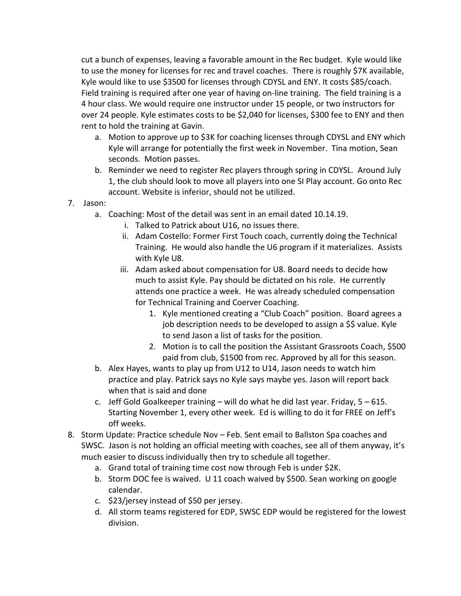cut a bunch of expenses, leaving a favorable amount in the Rec budget. Kyle would like to use the money for licenses for rec and travel coaches. There is roughly \$7K available, Kyle would like to use \$3500 for licenses through CDYSL and ENY. It costs \$85/coach. Field training is required after one year of having on-line training. The field training is a 4 hour class. We would require one instructor under 15 people, or two instructors for over 24 people. Kyle estimates costs to be \$2,040 for licenses, \$300 fee to ENY and then rent to hold the training at Gavin.

- a. Motion to approve up to \$3K for coaching licenses through CDYSL and ENY which Kyle will arrange for potentially the first week in November. Tina motion, Sean seconds. Motion passes.
- b. Reminder we need to register Rec players through spring in CDYSL. Around July 1, the club should look to move all players into one SI Play account. Go onto Rec account. Website is inferior, should not be utilized.
- 7. Jason:
	- a. Coaching: Most of the detail was sent in an email dated 10.14.19.
		- i. Talked to Patrick about U16, no issues there.
		- ii. Adam Costello: Former First Touch coach, currently doing the Technical Training. He would also handle the U6 program if it materializes. Assists with Kyle U8.
		- iii. Adam asked about compensation for U8. Board needs to decide how much to assist Kyle. Pay should be dictated on his role. He currently attends one practice a week. He was already scheduled compensation for Technical Training and Coerver Coaching.
			- 1. Kyle mentioned creating a "Club Coach" position. Board agrees a job description needs to be developed to assign a \$\$ value. Kyle to send Jason a list of tasks for the position.
			- 2. Motion is to call the position the Assistant Grassroots Coach, \$500 paid from club, \$1500 from rec. Approved by all for this season.
	- b. Alex Hayes, wants to play up from U12 to U14, Jason needs to watch him practice and play. Patrick says no Kyle says maybe yes. Jason will report back when that is said and done
	- c. Jeff Gold Goalkeeper training  $-$  will do what he did last year. Friday,  $5 615$ . Starting November 1, every other week. Ed is willing to do it for FREE on Jeff's off weeks.
- 8. Storm Update: Practice schedule Nov Feb. Sent email to Ballston Spa coaches and SWSC. Jason is not holding an official meeting with coaches, see all of them anyway, it's much easier to discuss individually then try to schedule all together.
	- a. Grand total of training time cost now through Feb is under \$2K.
	- b. Storm DOC fee is waived. U 11 coach waived by \$500. Sean working on google calendar.
	- c. \$23/jersey instead of \$50 per jersey.
	- d. All storm teams registered for EDP, SWSC EDP would be registered for the lowest division.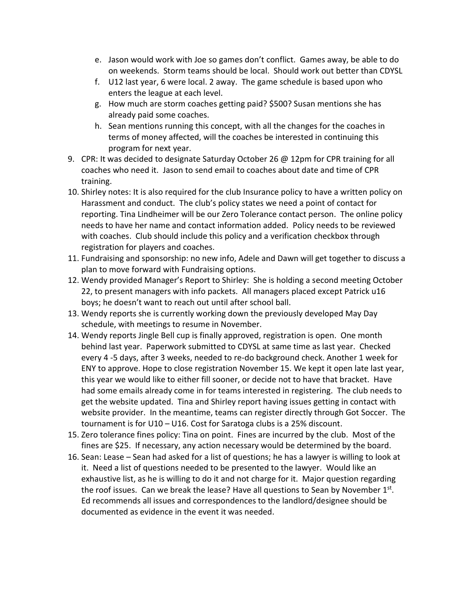- e. Jason would work with Joe so games don't conflict. Games away, be able to do on weekends. Storm teams should be local. Should work out better than CDYSL
- f. U12 last year, 6 were local. 2 away. The game schedule is based upon who enters the league at each level.
- g. How much are storm coaches getting paid? \$500? Susan mentions she has already paid some coaches.
- h. Sean mentions running this concept, with all the changes for the coaches in terms of money affected, will the coaches be interested in continuing this program for next year.
- 9. CPR: It was decided to designate Saturday October 26 @ 12pm for CPR training for all coaches who need it. Jason to send email to coaches about date and time of CPR training.
- 10. Shirley notes: It is also required for the club Insurance policy to have a written policy on Harassment and conduct. The club's policy states we need a point of contact for reporting. Tina Lindheimer will be our Zero Tolerance contact person. The online policy needs to have her name and contact information added. Policy needs to be reviewed with coaches. Club should include this policy and a verification checkbox through registration for players and coaches.
- 11. Fundraising and sponsorship: no new info, Adele and Dawn will get together to discuss a plan to move forward with Fundraising options.
- 12. Wendy provided Manager's Report to Shirley: She is holding a second meeting October 22, to present managers with info packets. All managers placed except Patrick u16 boys; he doesn't want to reach out until after school ball.
- 13. Wendy reports she is currently working down the previously developed May Day schedule, with meetings to resume in November.
- 14. Wendy reports Jingle Bell cup is finally approved, registration is open. One month behind last year. Paperwork submitted to CDYSL at same time as last year. Checked every 4 -5 days, after 3 weeks, needed to re-do background check. Another 1 week for ENY to approve. Hope to close registration November 15. We kept it open late last year, this year we would like to either fill sooner, or decide not to have that bracket. Have had some emails already come in for teams interested in registering. The club needs to get the website updated. Tina and Shirley report having issues getting in contact with website provider. In the meantime, teams can register directly through Got Soccer. The tournament is for U10 – U16. Cost for Saratoga clubs is a 25% discount.
- 15. Zero tolerance fines policy: Tina on point. Fines are incurred by the club. Most of the fines are \$25. If necessary, any action necessary would be determined by the board.
- 16. Sean: Lease Sean had asked for a list of questions; he has a lawyer is willing to look at it. Need a list of questions needed to be presented to the lawyer. Would like an exhaustive list, as he is willing to do it and not charge for it. Major question regarding the roof issues. Can we break the lease? Have all questions to Sean by November 1<sup>st</sup>. Ed recommends all issues and correspondences to the landlord/designee should be documented as evidence in the event it was needed.